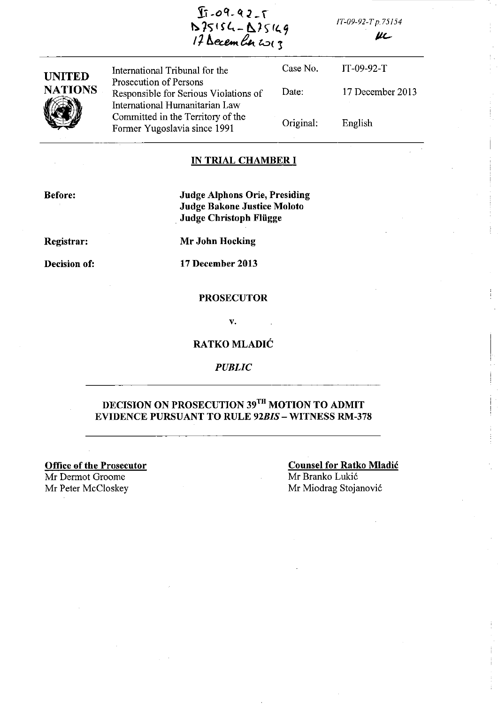$I_1 - 09 - 92 - 1$ D75154-A75149 *17 December 2013* 

*IT-09-92-Tp.75154* 

 $\mu$ 

| <b>UNITED</b>  | International Tribunal for the                                                                      | Case No.  | $IT-09-92-T$     |
|----------------|-----------------------------------------------------------------------------------------------------|-----------|------------------|
| <b>NATIONS</b> | Prosecution of Persons<br>Responsible for Serious Violations of                                     | Date:     | 17 December 2013 |
|                | International Humanitarian Law<br>Committed in the Territory of the<br>Former Yugoslavia since 1991 | Original: | English          |

#### IN TRIAL CHAMBER I

Before:

Judge Alphons Orie, Presiding Judge Bakone Justice Moloto Judge Christoph Fliigge

Registrar:

Decision of:

Mr John Hocking

17 December 2013

#### **PROSECUTOR**

v.

### RATKO MLADIC

*PUBLIC* 

# DECISION ON PROSECUTION 39<sup>TH</sup> MOTION TO ADMIT EVIDENCE PURSUANT TO RULE *92BIS* - WITNESS RM-378

Office of the Prosecutor Mr Dermot Groome Mr Peter McCloskey

Counsel for Ratko Mladic Mr Branko Lukić Mr Miodrag Stojanovi6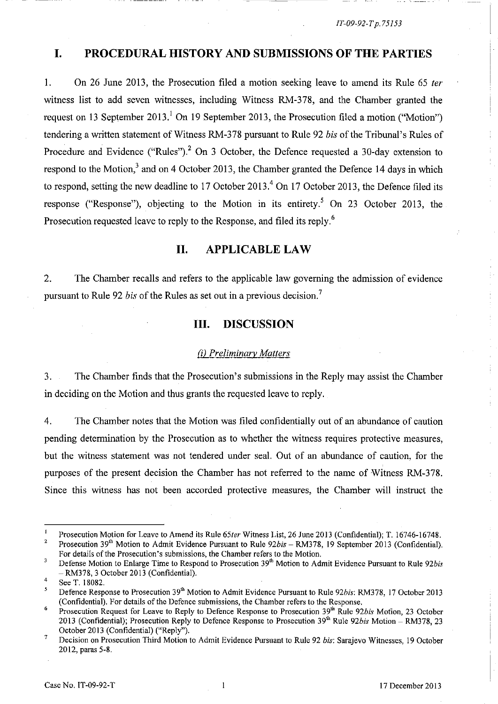*IT-09-92-T p. 75153* 

# **I. PROCEDURAL HISTORY AND SUBMISSIONS OF THE PARTIES**

1. On 26 June 2013, the Prosecution filed a motion seeking leave to amend its Rule 65 *fer*  witness list to add seven witnesses, including Witness RM-378, and the Chamber granted the request on 13 September 2013.<sup>1</sup> On 19 September 2013, the Prosecution filed a motion ("Motion") tendering a written statement of Witness RM-378 pursuant to Rule 92 *his* of the Tribunal's Rules of Procedure and Evidence ("Rules").<sup>2</sup> On 3 October, the Defence requested a 30-day extension to respond to the Motion,<sup>3</sup> and on 4 October 2013, the Chamber granted the Defence 14 days in which to respond, setting the new deadline to 17 October 2013.<sup>4</sup> On 17 October 2013, the Defence filed its response ("Response"), objecting to the Motion in its entirety.<sup>5</sup> On 23 October 2013, the Prosecution requested leave to reply to the Response, and filed its reply.<sup>6</sup>

## **11. APPLICABLE LAW**

2. The Chamber recalls and refers to the applicable law governing the admission of evidence pursuant to Rule 92 *his* of the Rules as set out in a previous decision. <sup>7</sup>

### **Ill. DISCUSSION**

#### *(i) Preliminary Matters*

3. The Chamber finds that the Prosecution's submissions in the Reply may assist the Chamber in deciding on the Motion and thus grants the requested leave to reply.

4. The Chamber notes that the Motion was filed confidentially out of an abundance of caution pending determination by the Prosecution as to whether the witness requires protective measures, but the witness statement was not tendered under seal. Out of an abundance of caution, for the purposes of the present decision the Chamber has not referred to the name of Witness RM-378. Since this witness has not been accorded protective measures, the Chamber will instruct the

 $\blacksquare$ Prosecution Motion for Leave to Amend its Rule *65ter* Witness List, 26 June 2013 (Confidential); T. 16746-16748.

 $\overline{\mathbf{2}}$ Prosecution 39<sup>th</sup> Motion to Admit Evidence Pursuant to Rule 92bis - RM378, 19 September 2013 (Confidential). For details of the Prosecution's submissions, the Chamber refers to the Motion.

 $\overline{\mathbf{3}}$ Defense Motion to Enlarge Time to Respond to Prosecution 39<sup>th</sup> Motion to Admit Evidence Pursuant to Rule 92bis - RM378, 3 October 2013 (Confidential).

<sup>4</sup>  See T. 18082.

Defence Response to Prosecution 39th Motion to Admit Evidence Pursuant to Rule *92bis:* RM378, 17 October 2013 (Confidential). For details of the Defence submissions, the Chamber refers to the Response.

<sup>6</sup>  Prosecution Request for Leave to Reply to Defence Response to Prosecution 39<sup>th</sup> Rule 92bis Motion, 23 October 2013 (Confidential); Prosecution Reply to Defence Response to Prosecution 39th Rule *92bis* Motion - RM378, 23 October 2013 (Confidential) ("Reply").

<sup>7</sup>  Decision on Prosecution Third Motion to Admit Evidence Pursuant to Rule 92 *bis*: Sarajevo Witnesses, 19 October 2012, paras 5-8.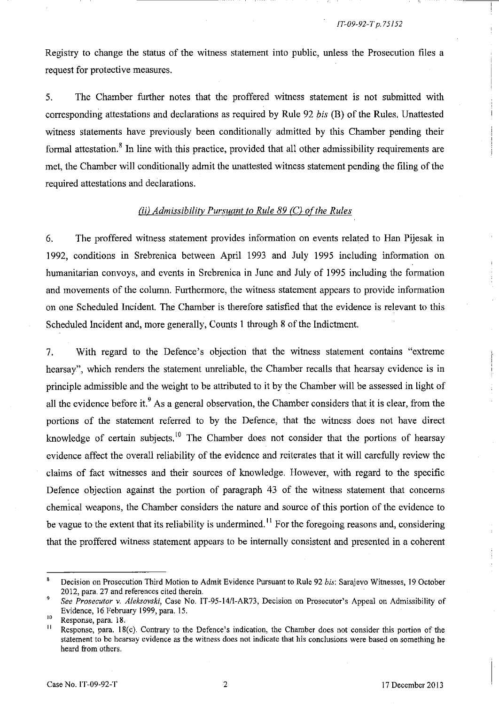Registry to change the status of the witness statement into public, unless the Prosecution files a request for protective measures.

5. The Chamber further notes that the proffered witness statement is not submitted with corresponding attestations and declarations as required by Rule 92 *bis* CB) of the Rules. Unattested witness statements have previously been conditionally admitted by this Chamber pending their formal attestation.<sup>8</sup> In line with this practice, provided that all other admissibility requirements are met, the Chamber will conditionally admit the unattested witness statement pending the filing of the required attestations and declarations.

#### *(ii) Admissibility Pursuant to Rule 89 (C) of the Rules*

6. The proffered witness statement provides information on events related to Han Pijesak in 1992, conditions in Srebrenica between April 1993 and July 1995 including information on humanitarian convoys, and events in Srebrenica in June and July of 1995 including the formation and movements of the column. Furthermore, the witness statement appears to provide information on one Scheduled Incident. The Chamber is therefore satisfied that the evidence is relevant to this Scheduled Incident and, more generally, Counts 1 through 8 of the Indictment.

7. With regard to the Defence's objection that the witness statement contains "extreme hearsay", which renders the statement unreliable, the Chamber recalls that hearsay evidence is in principle admissible and the weight to be attributed to it by the Chamber will be assessed in light of all the evidence before it.<sup>9</sup> As a general observation, the Chamber considers that it is clear, from the portions of the statement referred to by the Defence, that the witness does not have direct knowledge of certain subjects.<sup>10</sup> The Chamber does not consider that the portions of hearsay evidence affect the overall reliability of the evidence and reiterates that it will carefully review the claims of fact witnesses and their sources of knowledge. However, with regard to the specific Defence objection against the portion of paragraph 43 of the witness statement that concerns chemical weapons, the Chamber considers the nature and source of this portion of the evidence to be vague to the extent that its reliability is undermined. **11** For the foregoing reasons and, considering that the proffered witness statement appears to be internally consistent and presented in a coherent

Decision on Prosecution Third Motion to Admit Evidence Pursuant to Rule 92 *his:* Sarajevo Witnesses, 19 October 2012, para. 27 and references cited therein.

 $\mathbf{9}$ *See Prosecutor v. Aleksovski*, Case No. IT-95-14/1-AR73, Decision on Prosecutor's Appeal on Admissibility of Evidence, 16 February 1999, para. 15.

 $\frac{10}{11}$  Response, para. 18.

Response, para. 18(c). Contrary to the Defence's indication, the Chamber does not consider this portion of the **statement to be hearsay evidence as the witness does not indicate that his conclusions were based on something he**  heard from others.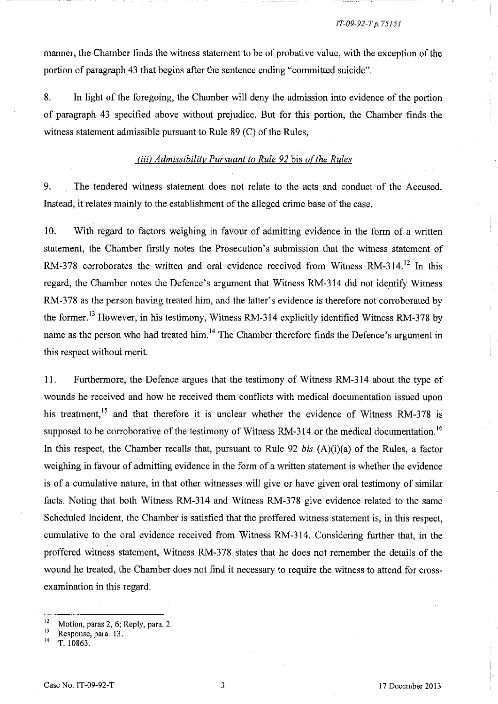#### *IT-09-92-T p. 75151*

manner, the Chamber finds the witness statement to be of probative value, with the exception of the portion of paragraph 43 that begins after the sentence ending "committed suicide".

8. In light of the foregoing, the Chamber will deny the admission into evidence of the portion of paragraph 43 specified above without prejudice. But for this portion, the Chamber finds the witness statement admissible pursuant to Rule 89 (C) of the Rules,

#### *(iii) Admissibility Pursuant to Rule 92 bis of the Rules*

9. The tendered witness statement does not relate to the acts and conduct of the Accused. Instead, it relates mainly to the establishment of the alleged crime base of the case.

10. With regard to factors weighing in favour of admitting evidence in the form of a written statement, the Chamber firstly notes the Prosecution's submission that the witness statement of RM-378 corroborates the written and oral evidence received from Witness RM-314.<sup>12</sup> In this regard, the Chamber notes the Defence's argument that Witness RM-3l4 did not identify Witness RM-378 as the person having treated him, and the latter's evidence is therefore not corroborated by the former. 13 However, in his testimony, Witness RM-314 explicitly identified Witness RM-378 by name as the person who had treated him.<sup>14</sup> The Chamber therefore finds the Defence's argument in this respect without merit.

11. Furthermore, the Defence argues that the testimony of Witness RM-3l4 about the type of wounds he received and how he received them conflicts with medical documentation issued upon his treatment,<sup>15</sup> and that therefore it is unclear whether the evidence of Witness RM-378 is supposed to be corroborative of the testimony of Witness RM-314 or the medical documentation.<sup>16</sup> In this respect, the Chamber recalls that, pursuant to Rule 92 *bis* (A)(i)(a) of the Rules, a factor weighing in favour of admitting evidence in the form of a written statement is whether the evidence is of a cumulative nature, in that other witnesses will give or have given oral testimony of similar facts. Noting that both Witness RM-314 and Witness RM-378 give evidence related to the same Scheduled Incident, the Chamber is satisfied that the proffered witness statement is, in this respect, cumulative to the oral evidence received from Witness RM-314. Considering further that, in the proffered witness statement, Witness RM-378 states that he does not remember the details of the wound he treated, the Chamber does not find it necessary to require the witness to attend for crossexamination in this regard.

1-

 $12$  Motion, paras 2, 6; Reply, para. 2.

**<sup>13</sup>Response, para. 13.** 

T. 10863.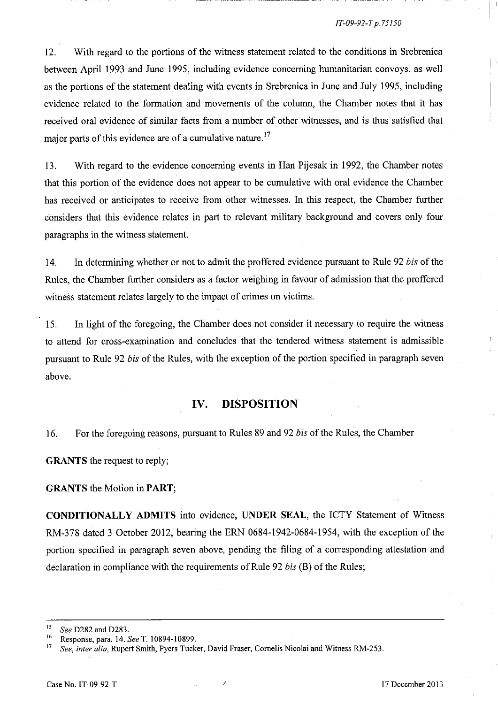#### *IT-09-92-T p.75150*

I '

12. With regard to the portions of the witness statement related to the conditions in Srebrenica between April 1993 and June 1995, including evidence concerning humanitarian convoys, as well as the portions of the statement dealing with events in Srebrenica in June and July 1995, including evidence related to the formation and movements of the column, the Chamber notes that it has received oral evidence of similar facts from a number of other witnesses, and is thus satisfied that major parts of this evidence are of a cumulative nature.<sup>17</sup>

13. With regard to the evidence concerning events in Han Pijesak in 1992, the Chamber notes that this portion of the evidence does not appear to be cumulative with oral evidence the Chamber has received or anticipates to receive from other witnesses. In this respect, the Chamber further considers that this evidence relates in part to relevant military background and covers only four paragraphs in the witness statement.

14. In determining whether or not to admit the proffered evidence pursuant to Rule 92 *his* of the Rules, the Chamber further considers as a factor weighing in favour of admission that the proffered witness statement relates largely to the impact of crimes on victims.

15. In light of the foregoing, the Chamber does not consider it necessary to require the witness to attend for cross-examination and concludes that the tendered witness statement is admissible pursuant to Rule 92 *his* of the Rules, with the exception of the portion specified in paragraph seven above.

#### **IV. DISPOSITION**

16. For the foregoing reasons, pursuant to Rules 89 and 92 *his* of the Rules, the Chamber

**GRANTS** the request to reply;

#### **GRANTS** the Motion in **PART;**

**CONDITIONALLY ADMITS** into evidence, **UNDER SEAL,** the ICTY Statement of Witness RM-378 dated 3 October 2012, bearing the ERN 0684-1942-0684-1954, with the exception of the portion specified in paragraph seven above, pending the filing of a corresponding attestation and declaration in compliance with the requirements of Rule 92 *his* (B) of the Rules;

<sup>&</sup>lt;sup>15</sup> *See* D282 and D283.

<sup>16</sup> Response, para. 14. *See* T. 10894-10899.

See, inter alia, Rupert Smith, Pyers Tucker, David Fraser, Cornelis Nicolai and Witness RM-253.